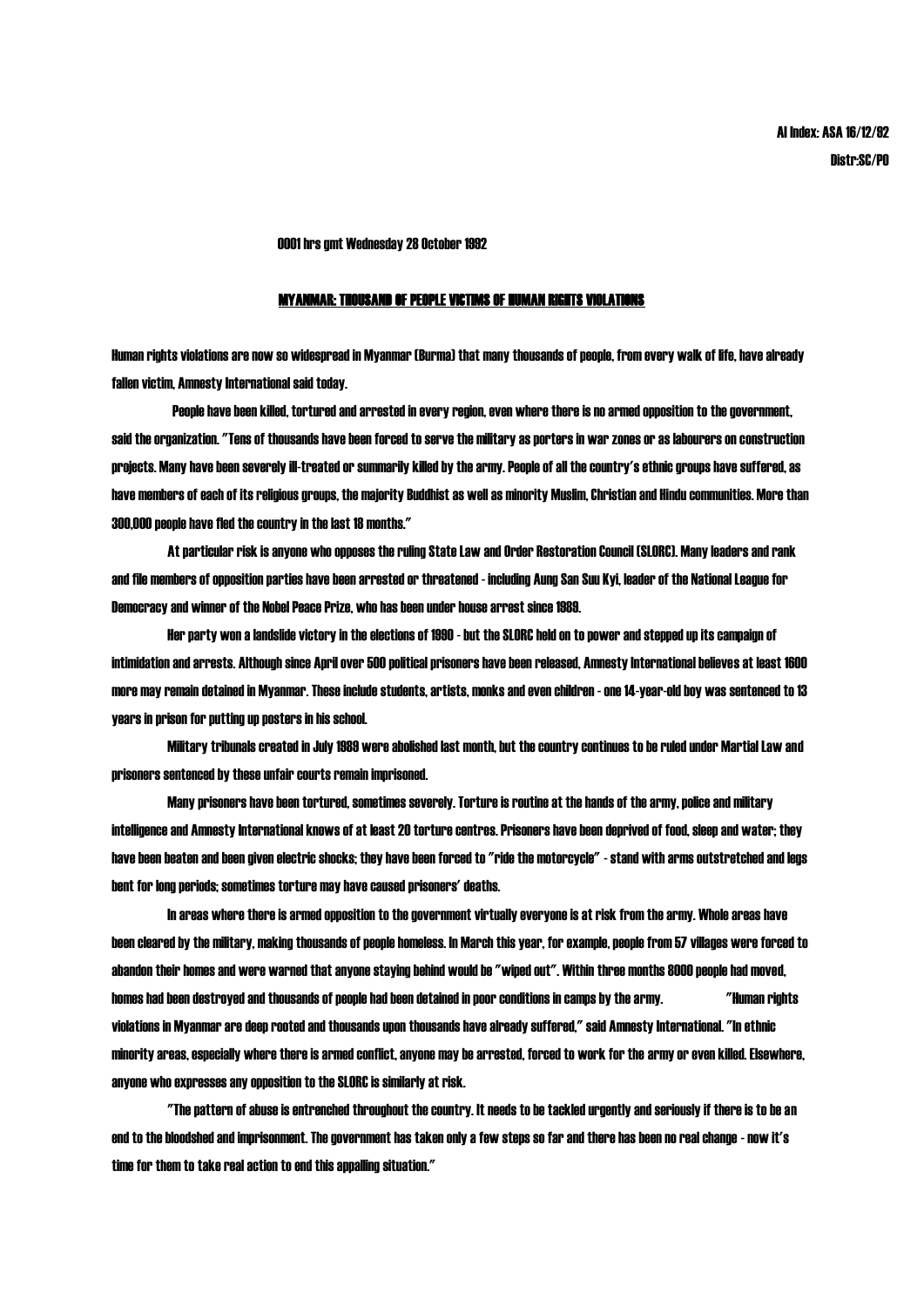0001 hrs gmt Wednesday 28 October 1992

## MYANMAR: THOUSAND OF PEOPLE VICTIMS OF HUMAN RIGHTS VIOLATIONS

Human rights violations are now so widespread in Myanmar (Burma) that many thousands of people, from every walk of life, have already fallen victim, Amnesty International said today.

People have been killed, tortured and arrested in every region, even where there is no armed opposition to the government, said the organization. "Tens of thousands have been forced to serve the military as porters in war zones or as labourers on construction projects. Many have been severely ill-treated or summarily killed by the army. People of all the country's ethnic groups have suffered, as have members of each of its religious groups, the majority Buddhist as well as minority Muslim, Christian and Hindu communities. More than 300,000 people have fled the country in the last 18 months."

At particular risk is anyone who opposes the ruling State Law and Order Restoration Council (SLORC). Many leaders and rank and file members of opposition parties have been arrested or threatened - including Aung San Suu Kyi, leader of the National League for Democracy and winner of the Nobel Peace Prize, who has been under house arrest since 1989.

Her party won a landslide victory in the elections of 1990 - but the SLORC held on to power and stepped up its campaign of intimidation and arrests. Although since April over 500 political prisoners have been released, Amnesty International believes at least 1600 more may remain detained in Myanmar. These include students, artists, monks and even children - one 14-year-old boy was sentenced to 13 years in prison for putting up posters in his school.

Military tribunals created in July 1989 were abolished last month, but the country continues to be ruled under Martial Law and prisoners sentenced by these unfair courts remain imprisoned.

Many prisoners have been tortured, sometimes severely. Torture is routine at the hands of the army, police and military intelligence and Amnesty International knows of at least 20 torture centres. Prisoners have been deprived of food, sleep and water; they have been beaten and been given electric shocks; they have been forced to "ride the motorcycle" - stand with arms outstretched and legs bent for long periods; sometimes torture may have caused prisoners' deaths.

In areas where there is armed opposition to the government virtually everyone is at risk from the army. Whole areas have been cleared by the military, making thousands of people homeless. In March this year, for example, people from 57 villages were forced to abandon their homes and were warned that anyone staying behind would be "wiped out". Within three months 8000 people had moved, homes had been destroyed and thousands of people had been detained in poor conditions in camps by the army. "Human rights violations in Myanmar are deep rooted and thousands upon thousands have already suffered," said Amnesty International. "In ethnic minority areas, especially where there is armed conflict, anyone may be arrested, forced to work for the army or even killed. Elsewhere, anyone who expresses any opposition to the SLORC is similarly at risk.

"The pattern of abuse is entrenched throughout the country. It needs to be tackled urgently and seriously if there is to be an end to the bloodshed and imprisonment. The government has taken only a few steps so far and there has been no real change - now it's time for them to take real action to end this appalling situation."